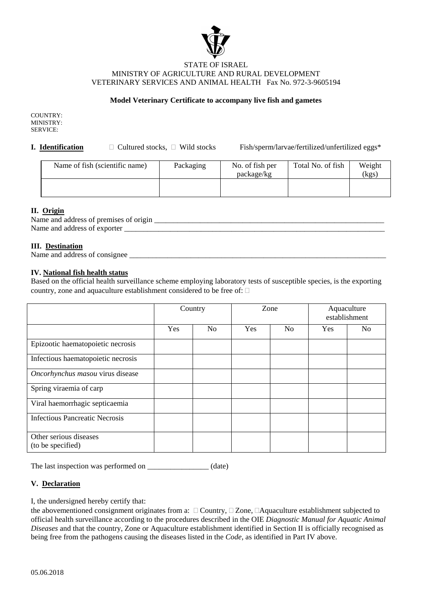

#### STATE OF ISRAEL MINISTRY OF AGRICULTURE AND RURAL DEVELOPMENT VETERINARY SERVICES AND ANIMAL HEALTH Fax No. 972-3-9605194

# **Model Veterinary Certificate to accompany live fish and gametes**

COUNTRY: MINISTRY: SERVICE:

**I. Identification**  $\Box$  Cultured stocks,  $\Box$  Wild stocks Fish/sperm/larvae/fertilized/unfertilized eggs\*

| Name of fish (scientific name) | Packaging | No. of fish per<br>package/kg | Total No. of fish | Weight<br>(kgs) |
|--------------------------------|-----------|-------------------------------|-------------------|-----------------|
|                                |           |                               |                   |                 |

## **II. Origin**

| Name and address of premises of origin |  |
|----------------------------------------|--|
| Name and address of exporter           |  |

### **III. Destination**

Name and address of consignee \_\_\_\_\_\_\_\_\_\_\_\_\_\_\_\_\_\_\_\_\_\_\_\_\_\_\_\_\_\_\_\_\_\_\_\_\_\_\_\_\_\_\_\_\_\_\_\_\_\_\_\_\_\_\_\_\_\_\_\_\_\_\_\_\_\_\_

#### **IV. National fish health status**

Based on the official health surveillance scheme employing laboratory tests of susceptible species, is the exporting country, zone and aquaculture establishment considered to be free of:

|                                             | Country |                | Zone |                | Aquaculture<br>establishment |                |
|---------------------------------------------|---------|----------------|------|----------------|------------------------------|----------------|
|                                             | Yes     | N <sub>0</sub> | Yes  | N <sub>o</sub> | Yes                          | N <sub>o</sub> |
| Epizootic haematopoietic necrosis           |         |                |      |                |                              |                |
| Infectious haematopoietic necrosis          |         |                |      |                |                              |                |
| Oncorhynchus masou virus disease            |         |                |      |                |                              |                |
| Spring viraemia of carp                     |         |                |      |                |                              |                |
| Viral haemorrhagic septicaemia              |         |                |      |                |                              |                |
| <b>Infectious Pancreatic Necrosis</b>       |         |                |      |                |                              |                |
| Other serious diseases<br>(to be specified) |         |                |      |                |                              |                |

The last inspection was performed on \_\_\_\_\_\_\_\_\_\_\_\_\_\_\_\_\_\_ (date)

## **V. Declaration**

I, the undersigned hereby certify that:

| the abovementioned consignment originates from a: $\square$ Country, $\square$ Zone, $\square$ Aquaculture establishment subjected to |
|---------------------------------------------------------------------------------------------------------------------------------------|
| official health surveillance according to the procedures described in the OIE Diagnostic Manual for Aquatic Animal                    |
| Diseases and that the country, Zone or Aquaculture establishment identified in Section II is officially recognised as                 |
| being free from the pathogens causing the diseases listed in the <i>Code</i> , as identified in Part IV above.                        |